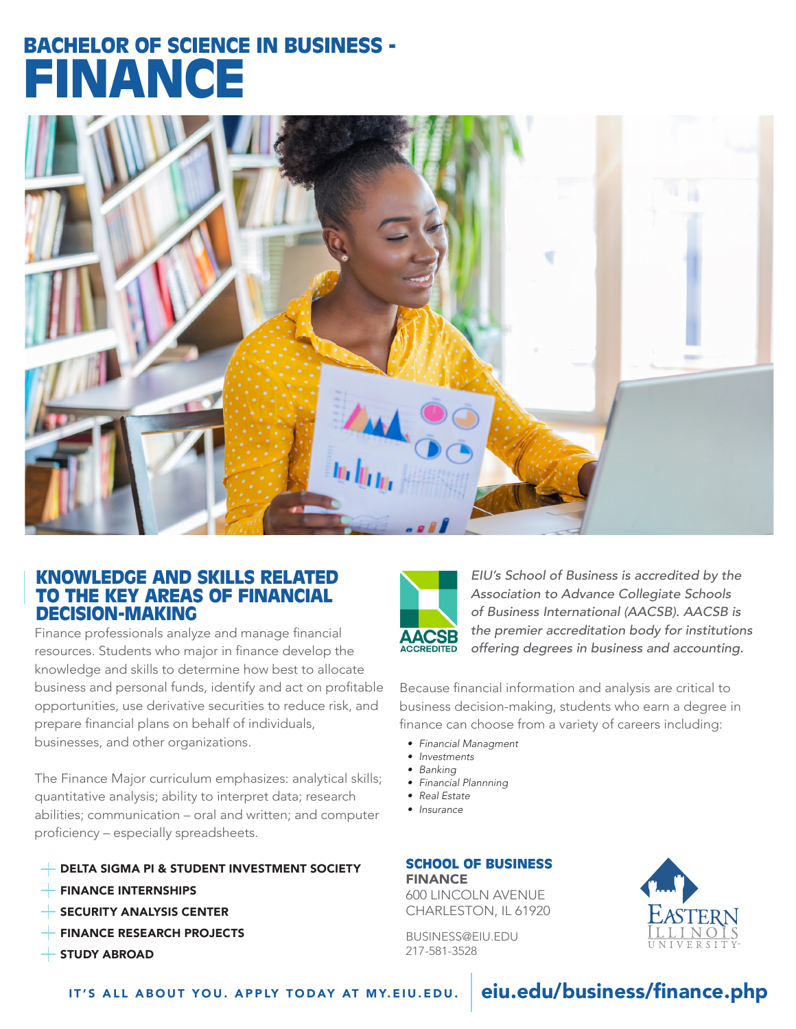# BACHELOR OF SCIENCE IN BUSINESS - FINANCE



### KNOWLEDGE AND SKILLS RELATED TO THE KEY AREAS OF FINANCIAL DECISION-MAKING

Finance professionals analyze and manage financial resources. Students who major in finance develop the knowledge and skills to determine how best to allocate business and personal funds, identify and act on profitable opportunities, use derivative securities to reduce risk, and prepare financial plans on behalf of individuals, businesses, and other organizations.

The Finance Major curriculum emphasizes: analytical skills; quantitative analysis; ability to interpret data; research abilities; communication – oral and written; and computer proficiency – especially spreadsheets.

#### **EXTENDING A PI & STUDENT INVESTMENT SOCIETY**

- FINANCE INTERNSHIPS
- $\overline{ }$  SECURITY ANALYSIS CENTER
- FINANCE RESEARCH PROJECTS
- $+$  STUDY ABROAD



*EIU's School of Business is accredited by the Association to Advance Collegiate Schools of Business International (AACSB). AACSB is the premier accreditation body for institutions offering degrees in business and accounting.*

Because financial information and analysis are critical to business decision-making, students who earn a degree in finance can choose from a variety of careers including:

- *• Financial Managment*
- *• Investments*
- *• Banking • Financial Plannning*
- *• Real Estate*
- 
- *• Insurance*

## SCHOOL OF BUSINESS FINANCE

600 LINCOLN AVENUE CHARLESTON, IL 61920

BUSINESS@EIU.EDU 217-581-3528

IT'S ALL ABOUT YOU. APPLY TODAY AT MY.EIU.EDU. eiu.edu/business/finance.php